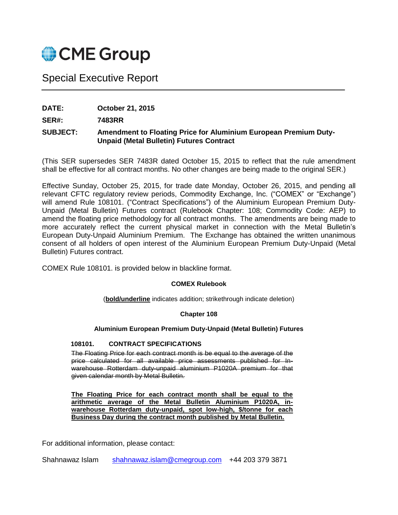

# Special Executive Report

**DATE: October 21, 2015**

**SER#: 7483RR**

## **SUBJECT: Amendment to Floating Price for Aluminium European Premium Duty-Unpaid (Metal Bulletin) Futures Contract**

(This SER supersedes SER 7483R dated October 15, 2015 to reflect that the rule amendment shall be effective for all contract months. No other changes are being made to the original SER.)

Effective Sunday, October 25, 2015, for trade date Monday, October 26, 2015, and pending all relevant CFTC regulatory review periods, Commodity Exchange, Inc. ("COMEX" or "Exchange") will amend Rule 108101. ("Contract Specifications") of the Aluminium European Premium Duty-Unpaid (Metal Bulletin) Futures contract (Rulebook Chapter: 108; Commodity Code: AEP) to amend the floating price methodology for all contract months. The amendments are being made to more accurately reflect the current physical market in connection with the Metal Bulletin's European Duty-Unpaid Aluminium Premium. The Exchange has obtained the written unanimous consent of all holders of open interest of the Aluminium European Premium Duty-Unpaid (Metal Bulletin) Futures contract.

COMEX Rule 108101. is provided below in blackline format.

## **COMEX Rulebook**

(**bold/underline** indicates addition; strikethrough indicate deletion)

#### **Chapter 108**

## **Aluminium European Premium Duty-Unpaid (Metal Bulletin) Futures**

#### **108101. CONTRACT SPECIFICATIONS**

The Floating Price for each contract month is be equal to the average of the price calculated for all available price assessments published for Inwarehouse Rotterdam duty-unpaid aluminium P1020A premium for that given calendar month by Metal Bulletin.

**The Floating Price for each contract month shall be equal to the arithmetic average of the Metal Bulletin Aluminium P1020A, inwarehouse Rotterdam duty-unpaid, spot low-high, \$/tonne for each Business Day during the contract month published by Metal Bulletin.**

For additional information, please contact:

Shahnawaz Islam [shahnawaz.islam@cmegroup.com](mailto:shahnawaz.islam@cmegroup.com) +44 203 379 3871